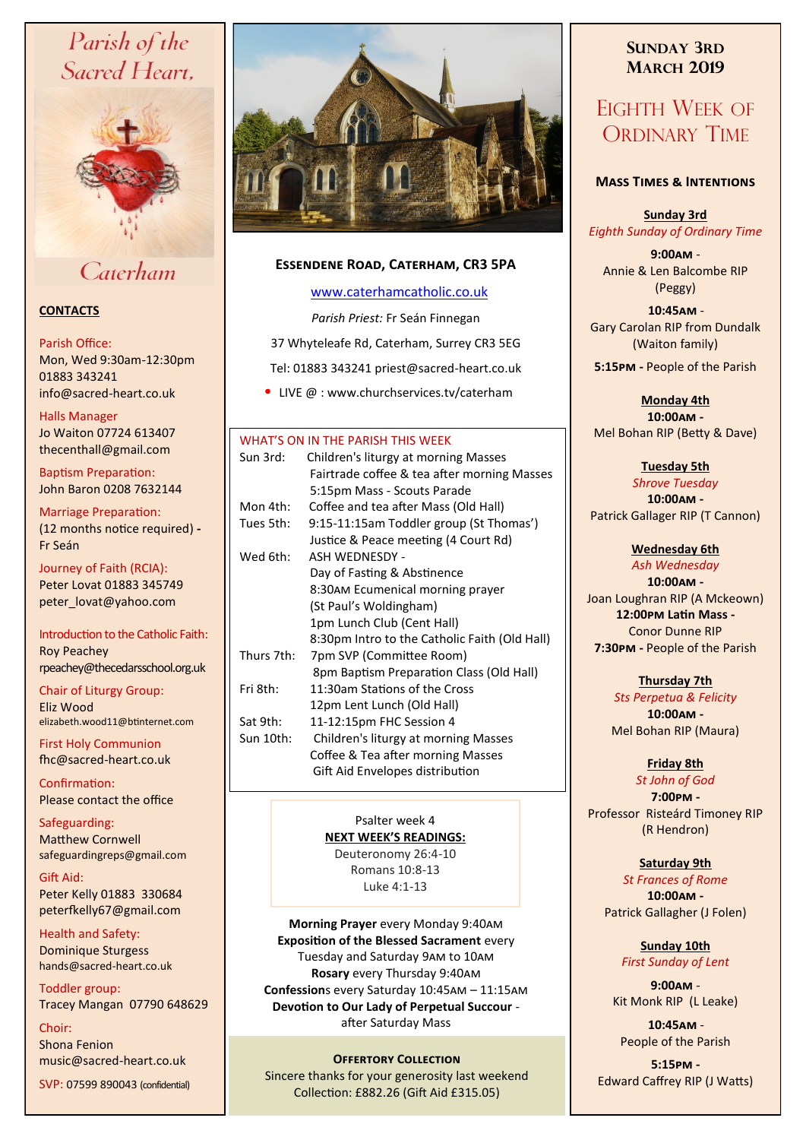# Parish of the Sacred Heart,



Caterham

### **CONTACTS**

### Parish Office:

Mon, Wed 9:30am-12:30pm 01883 343241 info@sacred-heart.co.uk .

### Halls Manager

Jo Waiton 07724 613407 thecenthall@gmail.com

Baptism Preparation: John Baron 0208 7632144

Marriage Preparation: (12 months notice required) **-** Fr Seán

Journey of Faith (RCIA): Peter Lovat 01883 345749 peter\_lovat@yahoo.com

Introduction to the Catholic Faith: Roy Peachey rpeachey@thecedarsschool.org.uk

Chair of Liturgy Group: Eliz Wood elizabeth.wood11@btinternet.com

First Holy Communion fhc@sacred-heart.co.uk

Confirmation: Please contact the office

Safeguarding: Matthew Cornwell safeguardingreps@gmail.com

Gift Aid: Peter Kelly 01883 330684 peterfkelly67@gmail.com

Health and Safety: Dominique Sturgess hands@sacred-heart.co.uk

Toddler group: Tracey Mangan 07790 648629

Choir: Shona Fenion music@sacred-heart.co.uk

SVP: 07599 890043 (confidential)



### **Essendene Road, Caterham, CR3 5PA**

### [www.caterhamcatholic.co.uk](http://Www.caterhamcatholic.co.uk)

*Parish Priest:* Fr Seán Finnegan

37 Whyteleafe Rd, Caterham, Surrey CR3 5EG

Tel: 01883 343241 priest@sacred-heart.co.uk

• LIVE @ : www.churchservices.tv/caterham

### WHAT'S ON IN THE PARISH THIS WEEK

| Sun 3rd:    | Children's liturgy at morning Masses          |  |  |
|-------------|-----------------------------------------------|--|--|
|             | Fairtrade coffee & tea after morning Masses   |  |  |
|             | 5:15pm Mass - Scouts Parade                   |  |  |
| Mon 4th:    | Coffee and tea after Mass (Old Hall)          |  |  |
| Tues 5th: . | 9:15-11:15am Toddler group (St Thomas')       |  |  |
|             | Justice & Peace meeting (4 Court Rd)          |  |  |
| Wed 6th:    | <b>ASH WEDNESDY -</b>                         |  |  |
|             | Day of Fasting & Abstinence                   |  |  |
|             | 8:30AM Ecumenical morning prayer              |  |  |
|             | (St Paul's Woldingham)                        |  |  |
|             | 1pm Lunch Club (Cent Hall)                    |  |  |
|             | 8:30pm Intro to the Catholic Faith (Old Hall) |  |  |
| Thurs 7th:  | 7pm SVP (Committee Room)                      |  |  |
|             | 8pm Baptism Preparation Class (Old Hall)      |  |  |
| Fri 8th:    | 11:30am Stations of the Cross                 |  |  |
|             | 12pm Lent Lunch (Old Hall)                    |  |  |
| Sat 9th:    | 11-12:15pm FHC Session 4                      |  |  |
| Sun 10th: l | Children's liturgy at morning Masses          |  |  |
|             | Coffee & Tea after morning Masses             |  |  |
|             | Gift Aid Envelopes distribution               |  |  |
|             |                                               |  |  |

Psalter week 4 **NEXT WEEK'S READINGS:** 

Deuteronomy 26:4-10 Romans 10:8-13 Luke 4:1-13

**Morning Prayer** every Monday 9:40am **Exposition of the Blessed Sacrament** every Tuesday and Saturday 9am to 10am **Rosary** every Thursday 9:40am **Confession**s every Saturday 10:45am – 11:15am **Devotion to Our Lady of Perpetual Succour**  after Saturday Mass

**OFFERTORY COLLECTION** Sincere thanks for your generosity last weekend Collection: £882.26 (Gift Aid £315.05)

## **SUNDAY 3RD MARCH 2019**

## EIGHTH WEEK OF ORDINARY TIME

### **Mass Times & Intentions**

### **Sunday 3rd** *Eighth Sunday of Ordinary Time*

**9:00am** - Annie & Len Balcombe RIP (Peggy)

.**10:45am** - Gary Carolan RIP from Dundalk (Waiton family)

**5:15pm -** People of the Parish

**Monday 4th 10:00am -**  Mel Bohan RIP (Betty & Dave)

### **Tuesday 5th**

*Shrove Tuesday* **10:00am -** Patrick Gallager RIP (T Cannon)

### **Wednesday 6th**

*Ash Wednesday* **10:00am -** Joan Loughran RIP (A Mckeown) **12:00pm Latin Mass -** Conor Dunne RIP **7:30pm -** People of the Parish

### **Thursday 7th**

*Sts Perpetua & Felicity* **10:00am -** Mel Bohan RIP (Maura)

### **Friday 8th**

*St John of God* **7:00pm -** Professor Risteárd Timoney RIP (R Hendron)

### **Saturday 9th**

*St Frances of Rome* **10:00am -**  Patrick Gallagher (J Folen)

> **Sunday 10th** *First Sunday of Lent*

**9:00am** - Kit Monk RIP (L Leake)

.**10:45am** - People of the Parish

**5:15pm -** Edward Caffrey RIP (J Watts)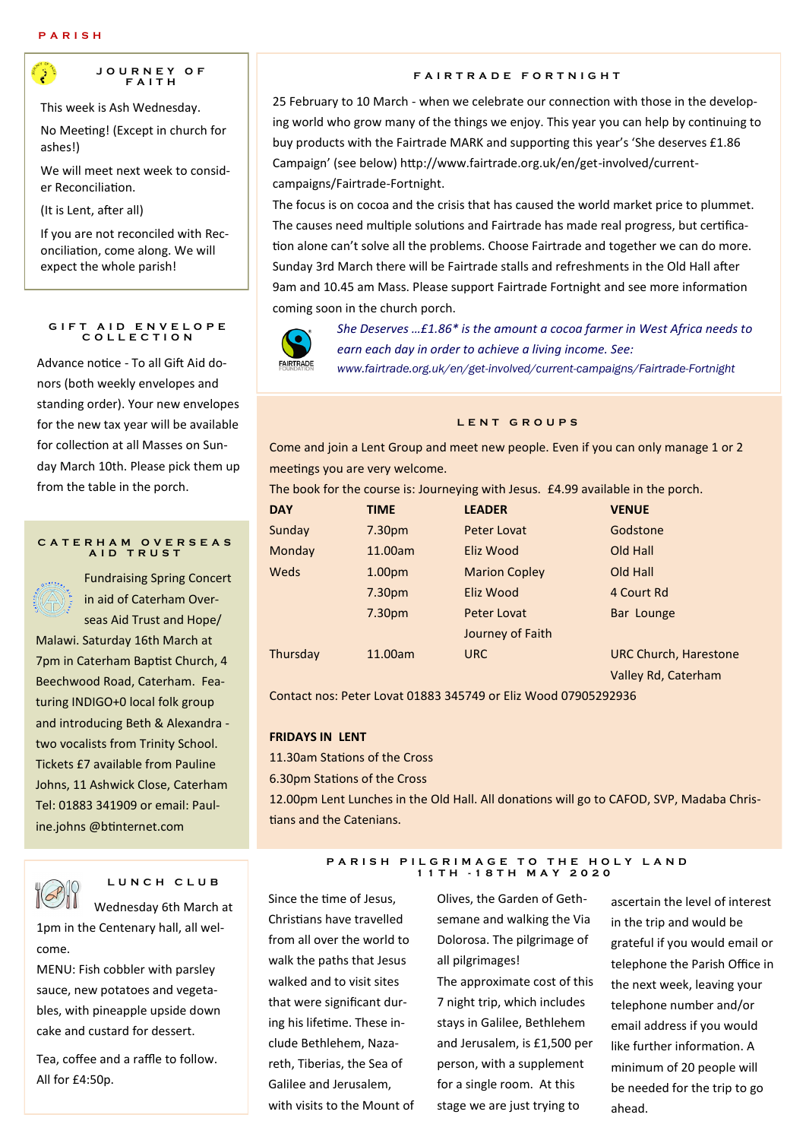

This week is Ash Wednesday.

No Meeting! (Except in church for ashes!)

We will meet next week to consider Reconciliation.

(It is Lent, after all)

If you are not reconciled with Reconciliation, come along. We will expect the whole parish!

#### **GIFT AID ENVELOPE C O L L E C T I O N**

Advance notice - To all Gift Aid donors (both weekly envelopes and standing order). Your new envelopes for the new tax year will be available for collection at all Masses on Sunday March 10th. Please pick them up from the table in the porch.

#### **C A T E R H A M O V E R S E A S A I D T R U S T**



Fundraising Spring Concert in aid of Caterham Overseas Aid Trust and Hope/

Malawi. Saturday 16th March at 7pm in Caterham Baptist Church, 4 Beechwood Road, Caterham. Featuring INDIGO+0 local folk group and introducing Beth & Alexandra two vocalists from Trinity School. Tickets £7 available from Pauline Johns, 11 Ashwick Close, Caterham Tel: 01883 341909 or email: Pauline.johns @btinternet.com



**L U N C H C L U B** 

Wednesday 6th March at 1pm in the Centenary hall, all welcome.

MENU: Fish cobbler with parsley sauce, new potatoes and vegetables, with pineapple upside down cake and custard for dessert.

Tea, coffee and a raffle to follow. All for £4:50p.

### **F A I R T R A D E F O R T N I G H T**

25 February to 10 March - when we celebrate our connection with those in the developing world who grow many of the things we enjoy. This year you can help by continuing to buy products with the Fairtrade MARK and supporting this year's 'She deserves £1.86 Campaign' (see below) http://www.fairtrade.org.uk/en/get-involved/currentcampaigns/Fairtrade-Fortnight.

The focus is on cocoa and the crisis that has caused the world market price to plummet. The causes need multiple solutions and Fairtrade has made real progress, but certification alone can't solve all the problems. Choose Fairtrade and together we can do more. Sunday 3rd March there will be Fairtrade stalls and refreshments in the Old Hall after 9am and 10.45 am Mass. Please support Fairtrade Fortnight and see more information coming soon in the church porch.



*She Deserves …£1.86\* is the amount a cocoa farmer in West Africa needs to earn each day in order to achieve a living income. See: www.fairtrade.org.uk/en/get-involved/current-campaigns/Fairtrade-Fortnight*

#### **L E N T G R O U P S**

Come and join a Lent Group and meet new people. Even if you can only manage 1 or 2 meetings you are very welcome.

The book for the course is: Journeying with Jesus. £4.99 available in the porch.

| <b>DAY</b> | <b>TIME</b>        | <b>LEADER</b>        | <b>VENUE</b>                 |
|------------|--------------------|----------------------|------------------------------|
| Sunday     | 7.30 <sub>pm</sub> | Peter Lovat          | Godstone                     |
| Monday     | 11.00am            | Eliz Wood            | Old Hall                     |
| Weds       | 1.00 <sub>pm</sub> | <b>Marion Copley</b> | Old Hall                     |
|            | 7.30 <sub>pm</sub> | Eliz Wood            | 4 Court Rd                   |
|            | 7.30 <sub>pm</sub> | Peter Lovat          | Bar Lounge                   |
|            |                    | Journey of Faith     |                              |
| Thursday   | 11.00am            | <b>URC</b>           | <b>URC Church, Harestone</b> |
|            |                    |                      | Valley Rd, Caterham          |

Contact nos: Peter Lovat 01883 345749 or Eliz Wood 07905292936

#### **FRIDAYS IN LENT**

11.30am Stations of the Cross

6.30pm Stations of the Cross

12.00pm Lent Lunches in the Old Hall. All donations will go to CAFOD, SVP, Madaba Christians and the Catenians.

#### **P A R I S H P I L G R I M A G E T O T H E H O L Y L A N D 1 1 T H - 1 8 T H M A Y 2 0 2 0**

Since the time of Jesus, Christians have travelled from all over the world to walk the paths that Jesus walked and to visit sites that were significant during his lifetime. These include Bethlehem, Nazareth, Tiberias, the Sea of Galilee and Jerusalem, with visits to the Mount of

Olives, the Garden of Gethsemane and walking the Via Dolorosa. The pilgrimage of all pilgrimages!

The approximate cost of this 7 night trip, which includes stays in Galilee, Bethlehem and Jerusalem, is £1,500 per person, with a supplement for a single room. At this stage we are just trying to

ascertain the level of interest in the trip and would be grateful if you would email or telephone the Parish Office in the next week, leaving your telephone number and/or email address if you would like further information. A minimum of 20 people will be needed for the trip to go ahead.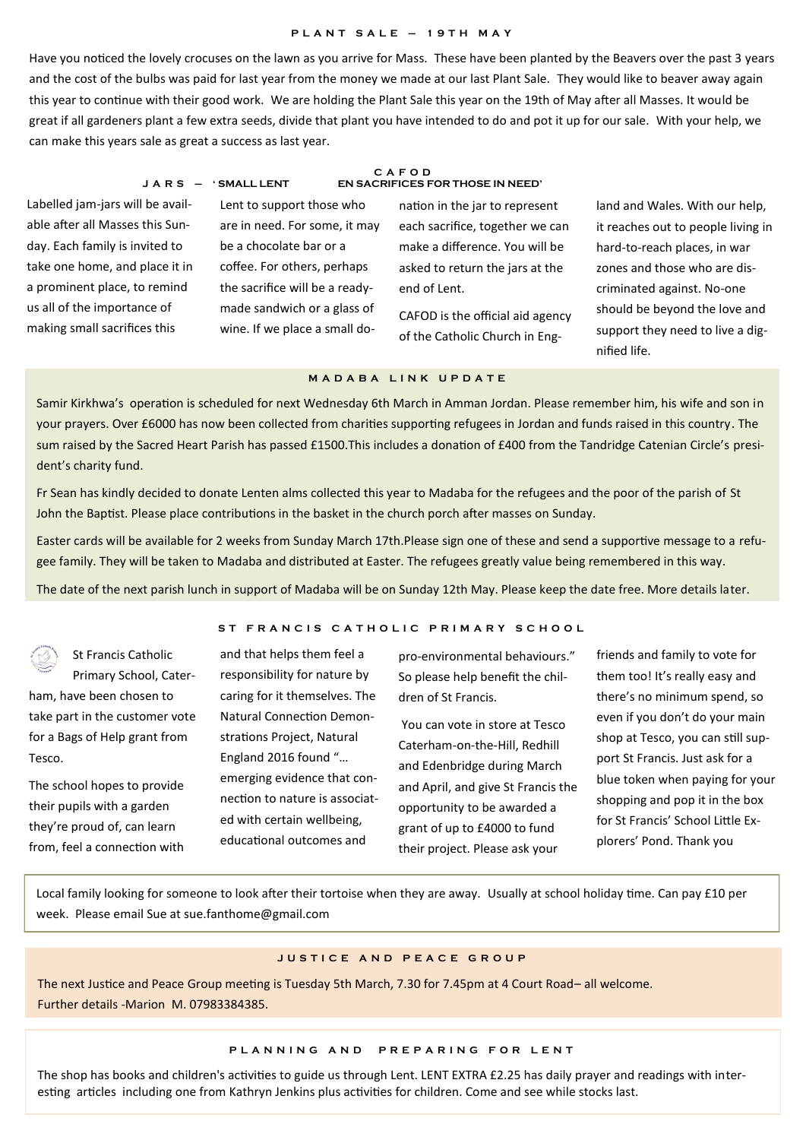#### **P L A N T S A L E – 1 9 T H M A Y**

Have you noticed the lovely crocuses on the lawn as you arrive for Mass. These have been planted by the Beavers over the past 3 years and the cost of the bulbs was paid for last year from the money we made at our last Plant Sale. They would like to beaver away again this year to continue with their good work. We are holding the Plant Sale this year on the 19th of May after all Masses. It would be great if all gardeners plant a few extra seeds, divide that plant you have intended to do and pot it up for our sale. With your help, we can make this years sale as great a success as last year.

Labelled jam-jars will be available after all Masses this Sunday. Each family is invited to take one home, and place it in a prominent place, to remind us all of the importance of making small sacrifices this

Lent to support those who are in need. For some, it may be a chocolate bar or a coffee. For others, perhaps the sacrifice will be a readymade sandwich or a glass of wine. If we place a small do-

#### **C A F O D J A R S – ' SMALL LENT EN SACRIFICES FOR THOSE IN NEED'**

nation in the jar to represent each sacrifice, together we can make a difference. You will be asked to return the jars at the end of Lent.

CAFOD is the official aid agency of the Catholic Church in England and Wales. With our help, it reaches out to people living in hard-to-reach places, in war zones and those who are discriminated against. No-one should be beyond the love and support they need to live a dignified life.

### **M A D A B A L I N K U P D A T E**

Samir Kirkhwa's operation is scheduled for next Wednesday 6th March in Amman Jordan. Please remember him, his wife and son in your prayers. Over £6000 has now been collected from charities supporting refugees in Jordan and funds raised in this country. The sum raised by the Sacred Heart Parish has passed £1500.This includes a donation of £400 from the Tandridge Catenian Circle's president's charity fund.

Fr Sean has kindly decided to donate Lenten alms collected this year to Madaba for the refugees and the poor of the parish of St John the Baptist. Please place contributions in the basket in the church porch after masses on Sunday.

Easter cards will be available for 2 weeks from Sunday March 17th.Please sign one of these and send a supportive message to a refugee family. They will be taken to Madaba and distributed at Easter. The refugees greatly value being remembered in this way.

The date of the next parish lunch in support of Madaba will be on Sunday 12th May. Please keep the date free. More details later.

St Francis Catholic Primary School, Caterham, have been chosen to take part in the customer vote for a Bags of Help grant from Tesco.

The school hopes to provide their pupils with a garden they're proud of, can learn from, feel a connection with

### ST FRANCIS CATHOLIC PRIMARY SCHOOL

and that helps them feel a responsibility for nature by caring for it themselves. The Natural Connection Demonstrations Project, Natural England 2016 found "… emerging evidence that connection to nature is associated with certain wellbeing, educational outcomes and

pro-environmental behaviours." So please help benefit the children of St Francis.

You can vote in store at Tesco Caterham-on-the-Hill, Redhill and Edenbridge during March and April, and give St Francis the opportunity to be awarded a grant of up to £4000 to fund their project. Please ask your

friends and family to vote for them too! It's really easy and there's no minimum spend, so even if you don't do your main shop at Tesco, you can still support St Francis. Just ask for a blue token when paying for your shopping and pop it in the box for St Francis' School Little Explorers' Pond. Thank you

Local family looking for someone to look after their tortoise when they are away. Usually at school holiday time. Can pay £10 per week. Please email Sue at sue.fanthome@gmail.com

### **J U S T I C E A N D P E A C E G R O U P**

The next Justice and Peace Group meeting is Tuesday 5th March, 7.30 for 7.45pm at 4 Court Road– all welcome. Further details -Marion M. 07983384385.

#### **P L A N N I N G A N D P R E P A R I N G F O R L E N T**

The shop has books and children's activities to guide us through Lent. LENT EXTRA £2.25 has daily prayer and readings with interesting articles including one from Kathryn Jenkins plus activities for children. Come and see while stocks last.